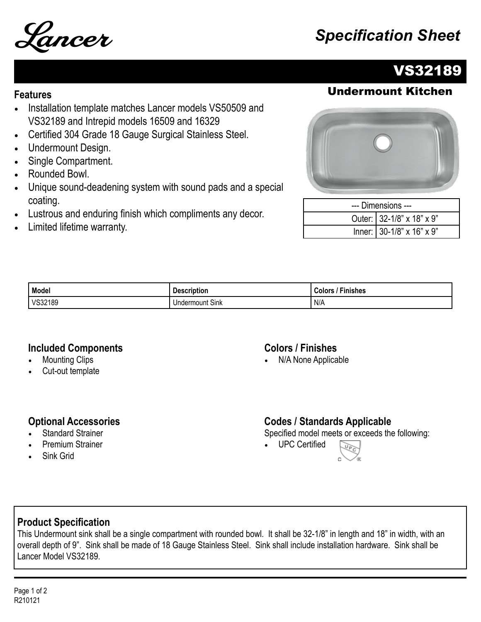# Lancer *Specification Sheet*



## VS32189

### **Features** Undermount Kitchen

- Installation template matches Lancer models VS50509 and VS32189 and Intrepid models 16509 and 16329
- Certified 304 Grade 18 Gauge Surgical Stainless Steel.
- Undermount Design.
- Single Compartment.
- Rounded Bowl.
- Unique sound-deadening system with sound pads and a special coating.
- Lustrous and enduring finish which compliments any decor.
- Limited lifetime warranty.



| --- Dimensions --- |                           |  |
|--------------------|---------------------------|--|
|                    | Outer: 32-1/8" x 18" x 9" |  |
|                    | Inner: 30-1/8" x 16" x 9" |  |

| Model   | <b>Description</b> | --<br>Colors<br>-inishes |
|---------|--------------------|--------------------------|
| VS32189 | Sink<br>Undermount | N/A                      |

#### **Included Components**

- **Mounting Clips**
- Cut-out template

#### **Colors / Finishes**

• N/A None Applicable

#### **Optional Accessories**

- **Standard Strainer**
- Premium Strainer
- Sink Grid

#### **Codes / Standards Applicable**

Specified model meets or exceeds the following:

• UPC Certified



#### **Product Specification**

This Undermount sink shall be a single compartment with rounded bowl. It shall be 32-1/8" in length and 18" in width, with an overall depth of 9". Sink shall be made of 18 Gauge Stainless Steel. Sink shall include installation hardware. Sink shall be Lancer Model VS32189.